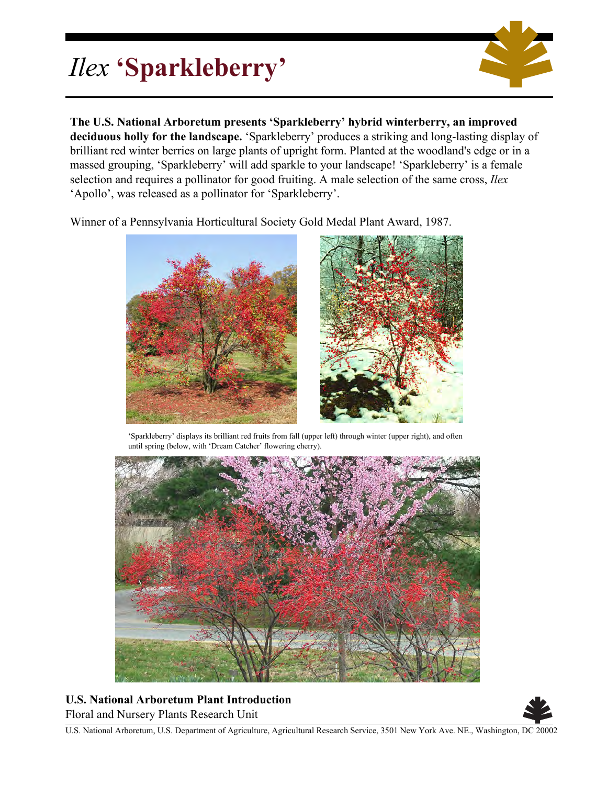## *Ilex* **'Sparkleberry'**



**The U.S. National Arboretum presents 'Sparkleberry' hybrid winterberry, an improved deciduous holly for the landscape.** 'Sparkleberry' produces a striking and long-lasting display of brilliant red winter berries on large plants of upright form. Planted at the woodland's edge or in a massed grouping, 'Sparkleberry' will add sparkle to your landscape! 'Sparkleberry' is a female selection and requires a pollinator for good fruiting. A male selection of the same cross, *Ilex* 'Apollo', was released as a pollinator for 'Sparkleberry'.

Winner of a Pennsylvania Horticultural Society Gold Medal Plant Award, 1987.



'Sparkleberry' displays its brilliant red fruits from fall (upper left) through winter (upper right), and often until spring (below, with 'Dream Catcher' flowering cherry).



**U.S. National Arboretum Plant Introduction** Floral and Nursery Plants Research Unit



U.S. National Arboretum, U.S. Department of Agriculture, Agricultural Research Service, 3501 New York Ave. NE., Washington, DC 20002